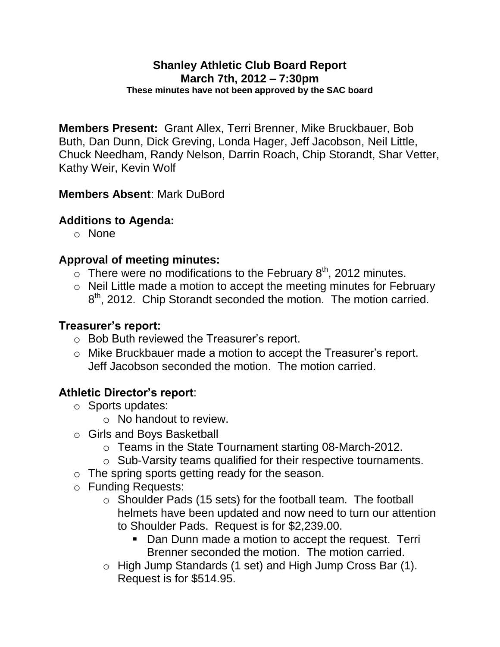**Members Present:** Grant Allex, Terri Brenner, Mike Bruckbauer, Bob Buth, Dan Dunn, Dick Greving, Londa Hager, Jeff Jacobson, Neil Little, Chuck Needham, Randy Nelson, Darrin Roach, Chip Storandt, Shar Vetter, Kathy Weir, Kevin Wolf

## **Members Absent**: Mark DuBord

#### **Additions to Agenda:**

o None

#### **Approval of meeting minutes:**

- $\overline{\circ}$  There were no modifications to the February 8<sup>th</sup>, 2012 minutes.
- o Neil Little made a motion to accept the meeting minutes for February 8<sup>th</sup>, 2012. Chip Storandt seconded the motion. The motion carried.

#### **Treasurer's report:**

- o Bob Buth reviewed the Treasurer's report.
- o Mike Bruckbauer made a motion to accept the Treasurer's report. Jeff Jacobson seconded the motion. The motion carried.

## **Athletic Director's report**:

- o Sports updates:
	- o No handout to review.
- o Girls and Boys Basketball
	- o Teams in the State Tournament starting 08-March-2012.
	- o Sub-Varsity teams qualified for their respective tournaments.
- o The spring sports getting ready for the season.
- o Funding Requests:
	- o Shoulder Pads (15 sets) for the football team. The football helmets have been updated and now need to turn our attention to Shoulder Pads. Request is for \$2,239.00.
		- Dan Dunn made a motion to accept the request. Terri Brenner seconded the motion. The motion carried.
	- o High Jump Standards (1 set) and High Jump Cross Bar (1). Request is for \$514.95.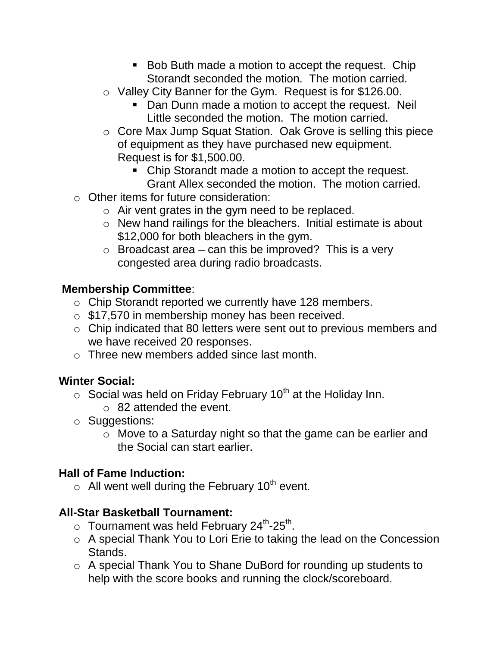- Bob Buth made a motion to accept the request. Chip Storandt seconded the motion. The motion carried.
- o Valley City Banner for the Gym. Request is for \$126.00.
	- **Dan Dunn made a motion to accept the request. Neil** Little seconded the motion. The motion carried.
- o Core Max Jump Squat Station. Oak Grove is selling this piece of equipment as they have purchased new equipment. Request is for \$1,500.00.
	- Chip Storandt made a motion to accept the request. Grant Allex seconded the motion. The motion carried.
- o Other items for future consideration:
	- o Air vent grates in the gym need to be replaced.
	- o New hand railings for the bleachers. Initial estimate is about \$12,000 for both bleachers in the gym.
	- $\circ$  Broadcast area can this be improved? This is a very congested area during radio broadcasts.

# **Membership Committee**:

- o Chip Storandt reported we currently have 128 members.
- o \$17,570 in membership money has been received.
- o Chip indicated that 80 letters were sent out to previous members and we have received 20 responses.
- o Three new members added since last month.

# **Winter Social:**

- $\circ$  Social was held on Friday February 10<sup>th</sup> at the Holiday Inn.
	- o 82 attended the event.
- o Suggestions:
	- o Move to a Saturday night so that the game can be earlier and the Social can start earlier.

# **Hall of Fame Induction:**

 $\circ$  All went well during the February 10<sup>th</sup> event.

# **All-Star Basketball Tournament:**

- $\circ$  Tournament was held February 24<sup>th</sup>-25<sup>th</sup>.
- o A special Thank You to Lori Erie to taking the lead on the Concession Stands.
- o A special Thank You to Shane DuBord for rounding up students to help with the score books and running the clock/scoreboard.